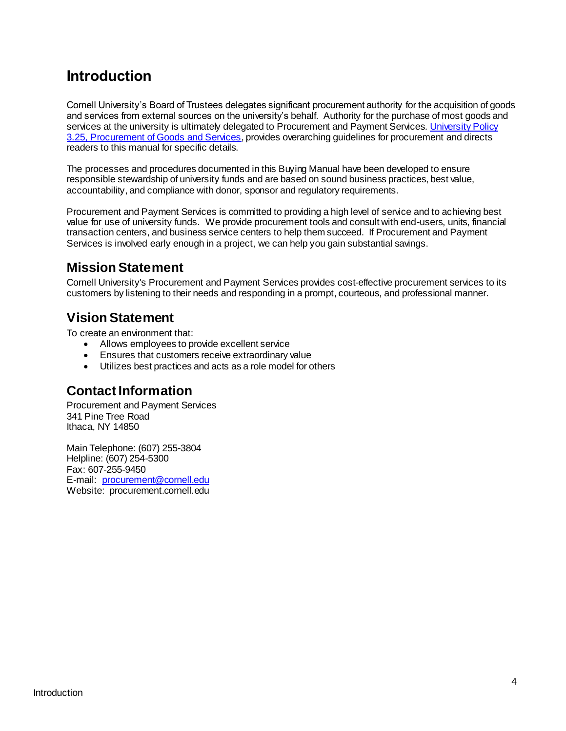# **Introduction**

Cornell University's Board of Trustees delegates significant procurement authority for the acquisition of goods and services from external sources on the university's behalf. Authority for the purchase of most goods and services at the university is ultimately delegated to Procurement and Payment Services. University Policy [3.25, Procurement of Goods](http://www.dfa.cornell.edu/sites/default/files/policy/vol3_25.pdf) and Services, provides overarching guidelines for procurement and directs readers to this manual for specific details.

The processes and procedures documented in this Buying Manual have been developed to ensure responsible stewardship of university funds and are based on sound business practices, best value, accountability, and compliance with donor, sponsor and regulatory requirements.

Procurement and Payment Services is committed to providing a high level of service and to achieving best value for use of university funds. We provide procurement tools and consult with end-users, units, financial transaction centers, and business service centers to help them succeed. If Procurement and Payment Services is involved early enough in a project, we can help you gain substantial savings.

#### **Mission Statement**

Cornell University's Procurement and Payment Services provides cost-effective procurement services to its customers by listening to their needs and responding in a prompt, courteous, and professional manner.

#### **Vision Statement**

To create an environment that:

- Allows employees to provide excellent service
- Ensures that customers receive extraordinary value
- Utilizes best practices and acts as a role model for others

#### **Contact Information**

Procurement and Payment Services 341 Pine Tree Road Ithaca, NY 14850

Main Telephone: (607) 255-3804 Helpline: (607) 254-5300 Fax: 607-255-9450 E-mail: [procurement@cornell.edu](mailto:procurement@cornell.edu) Website: procurement.cornell.edu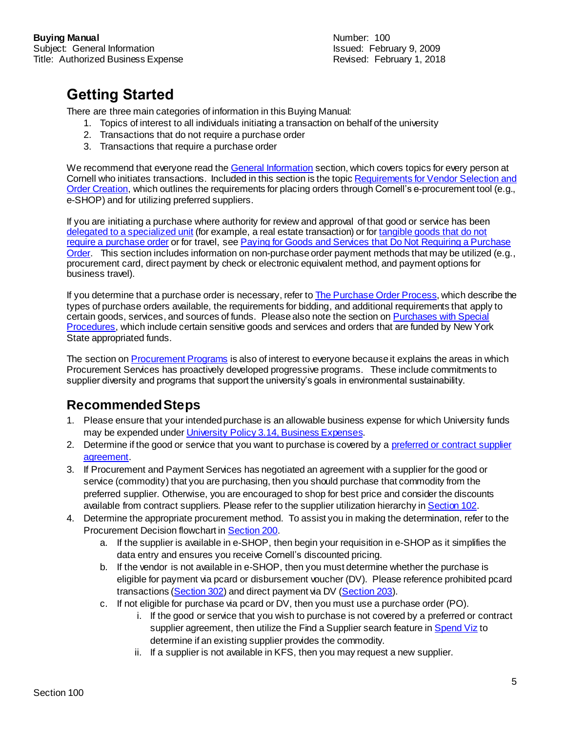# **Getting Started**

There are three main categories of information in this Buying Manual:

- 1. Topics of interest to all individuals initiating a transaction on behalf of the university
- 2. Transactions that do not require a purchase order
- 3. Transactions that require a purchase order

We recommend that everyone read th[e General Information](https://www.dfa.cornell.edu/sites/default/files/bm-100-sections-general.pdf) section, which covers topics for every person at Cornell who initiates transactions. Included in this section is the topi[c Requirements for Vendor](https://www.dfa.cornell.edu/sites/default/files/bm-section-102.pdf) Selection and [Order Creation,](https://www.dfa.cornell.edu/sites/default/files/bm-section-102.pdf) which outlines the requirements for placing orders through Cornell's e-procurement tool (e.g., e-SHOP) and for utilizing preferred suppliers.

If you are initiating a purchase where authority for review and approval of that good or service has been [delegated to a specialized unit](https://www.dfa.cornell.edu/sites/default/files/bm-section-201.pdf) (for example, a real estate transaction) or for tangible goods that do not [require a purchase order](https://www.dfa.cornell.edu/sites/default/files/bm-section-203.pdf) or for travel, see Paying for Goods and Services that Do Not [Requiring a Purchase](https://www.dfa.cornell.edu/sites/default/files/bm-200-sections-no-po.pdf)  [Order.](https://www.dfa.cornell.edu/sites/default/files/bm-200-sections-no-po.pdf) This section includes information on non-purchase order payment methods that may be utilized (e.g., procurement card, direct payment by check or electronic equivalent method, and payment options for business travel).

If you determine that a purchase order is necessary, refer t[o The Purchase Order Process](https://www.dfa.cornell.edu/sites/default/files/bm-400-sections-po.pdf), which describe the types of purchase orders available, the requirements for bidding, and additional requirements that apply to certain goods, services, and sources of funds. Please also note the section o[n Purchases with Special](https://www.dfa.cornell.edu/sites/default/files/bm-600-sections-special.pdf)  [Procedures,](https://www.dfa.cornell.edu/sites/default/files/bm-600-sections-special.pdf) which include certain sensitive goods and services and orders that are funded by New York State appropriated funds.

The section on **Procurement Programs** is also of interest to everyone because it explains the areas in which Procurement Services has proactively developed progressive programs. These include commitments to supplier diversity and programs that support the university's goals in environmental sustainability.

## **Recommended Steps**

- 1. Please ensure that your intended purchase is an allowable business expense for which University funds may be expended unde[r University Policy 3.14, Business Expenses](https://www.dfa.cornell.edu/sites/default/files/policy/vol3_14.pdf).
- 2. Determine if the good or service that you want to purchase is covered by [a preferred or contract](https://www.dfa.cornell.edu/procurement/supplierlistview) supplier [agreement.](https://www.dfa.cornell.edu/procurement/supplierlistview)
- 3. If Procurement and Payment Services has negotiated an agreement with a supplier for the good or service (commodity) that you are purchasing, then you should purchase that commodity from the preferred supplier. Otherwise, you are encouraged to shop for best price and consider the discounts available from contract suppliers. Please refer to the supplier utilization hierarchy i[n Section 102](https://www.dfa.cornell.edu/sites/default/files/bm-section-102.pdf).
- 4. Determine the appropriate procurement method. To assist you in making the determination, refer to the Procurement Decision flowchart i[n Section 200](https://www.dfa.cornell.edu/sites/default/files/bm-section-200.pdf).
	- a. If the supplier is available in e-SHOP, then begin your requisition in e-SHOP as it simplifies the data entry and ensures you receive Cornell's discounted pricing.
	- b. If the vendor is not available in e-SHOP, then you must determine whether the purchase is eligible for payment via pcard or disbursement voucher (DV). Please reference prohibited pcard transactions [\(Section 302](https://www.dfa.cornell.edu/sites/default/files/bm-section-302.pdf)) and direct payment via DV [\(Section 203](https://www.dfa.cornell.edu/sites/default/files/bm-section-203.pdf)).
	- c. If not eligible for purchase via pcard or DV, then you must use a purchase order (PO).
		- i. If the good or service that you wish to purchase is not covered by a preferred or contract supplier agreement, then utilize the Find a Supplier search feature i[n Spend Viz](http://spendviz.dfa.cornell.edu/kfs/VendorSearch.aspx) to determine if an existing supplier provides the commodity.
		- ii. If a supplier is not available in KFS, then you may request a new supplier.